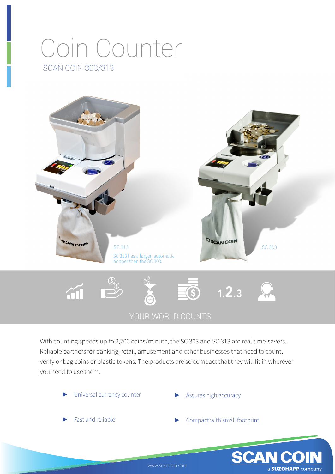## Coin Counter SCAN COIN 303/313



With counting speeds up to 2,700 coins/minute, the SC 303 and SC 313 are real time-savers. Reliable partners for banking, retail, amusement and other businesses that need to count, verify or bag coins or plastic tokens. The products are so compact that they will fit in wherever you need to use them.